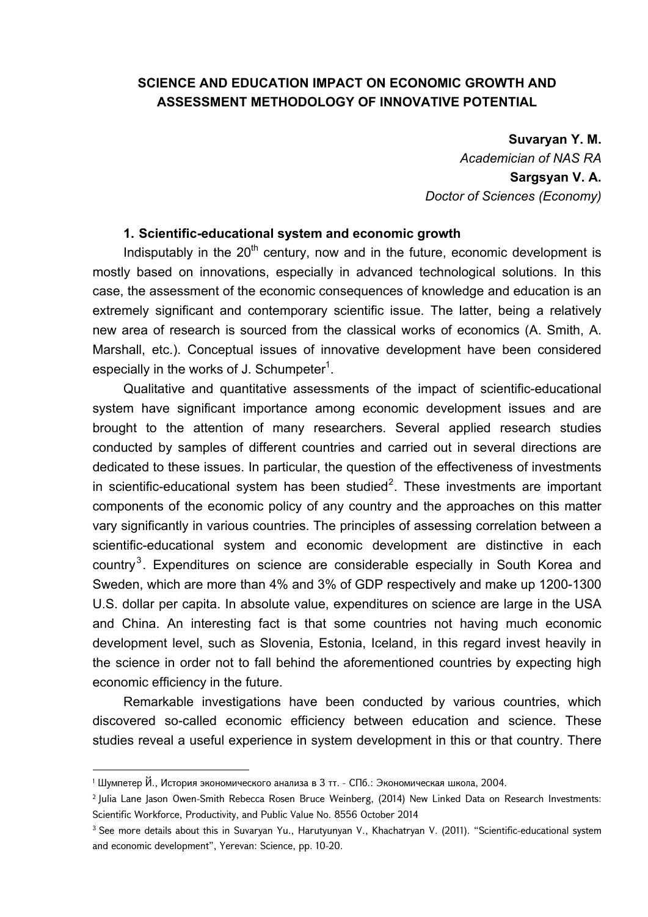# **SCIENCE AND EDUCATION IMPACT ON ECONOMIC GROWTH AND ASSESSMENT METHODOLOGY OF INNOVATIVE POTENTIAL**

#### **Suvaryan Y. M.**

*Academician of NAS RA*  **Sargsyan V. A.**  *Doctor of Sciences (Economy)* 

## **1. Scientific-educational system and economic growth**

Indisputably in the  $20<sup>th</sup>$  century, now and in the future, economic development is mostly based on innovations, especially in advanced technological solutions. In this case, the assessment of the economic consequences of knowledge and education is an extremely significant and contemporary scientific issue. The latter, being a relatively new area of research is sourced from the classical works of economics (A. Smith, A. Marshall, etc.). Conceptual issues of innovative development have been considered especially in the works of J. Schumpeter<sup>1</sup>.

Qualitative and quantitative assessments of the impact of scientific-educational system have significant importance among economic development issues and are brought to the attention of many researchers. Several applied research studies conducted by samples of different countries and carried out in several directions are dedicated to these issues. In particular, the question of the effectiveness of investments in scientific-educational system has been studied<sup>2</sup>. These investments are important components of the economic policy of any country and the approaches on this matter vary significantly in various countries. The principles of assessing correlation between a scientific-educational system and economic development are distinctive in each country<sup>3</sup>. Expenditures on science are considerable especially in South Korea and Sweden, which are more than 4% and 3% of GDP respectively and make up 1200-1300 U.S. dollar per capita. In absolute value, expenditures on science are large in the USA and China. An interesting fact is that some countries not having much economic development level, such as Slovenia, Estonia, Iceland, in this regard invest heavily in the science in order not to fall behind the aforementioned countries by expecting high economic efficiency in the future.

Remarkable investigations have been conducted by various countries, which discovered so-called economic efficiency between education and science. These studies reveal a useful experience in system development in this or that country. There

<sup>1</sup> Шумпетер Й., История экономического анализа в 3 тт. - СПб.: Экономическая школа, 2004.

<sup>2</sup> Julia Lane Jason Owen-Smith Rebecca Rosen Bruce Weinberg, (2014) New Linked Data on Research Investments: Scientific Workforce, Productivity, and Public Value No. 8556 October 2014

<sup>&</sup>lt;sup>3</sup> See more details about this in Suvaryan Yu., Harutyunyan V., Khachatryan V. (2011). "Scientific-educational system and economic development", Yerevan: Science, pp. 10-20.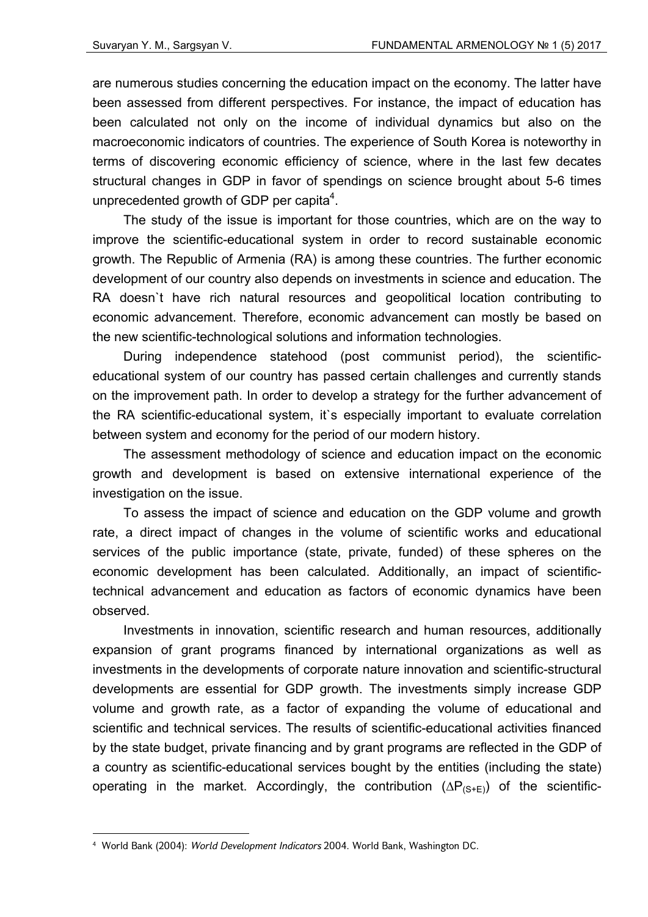are numerous studies concerning the education impact on the economy. The latter have been assessed from different perspectives. For instance, the impact of education has been calculated not only on the income of individual dynamics but also on the macroeconomic indicators of countries. The experience of South Korea is noteworthy in terms of discovering economic efficiency of science, where in the last few decates structural changes in GDP in favor of spendings on science brought about 5-6 times unprecedented growth of GDP per capita $4$ .

The study of the issue is important for those countries, which are on the way to improve the scientific-educational system in order to record sustainable economic growth. The Republic of Armenia (RA) is among these countries. The further economic development of our country also depends on investments in science and education. The RA doesn`t have rich natural resources and geopolitical location contributing to economic advancement. Therefore, economic advancement can mostly be based on the new scientific-technological solutions and information technologies.

During independence statehood (post communist period), the scientificeducational system of our country has passed certain challenges and currently stands on the improvement path. In order to develop a strategy for the further advancement of the RA scientific-educational system, it`s especially important to evaluate correlation between system and economy for the period of our modern history.

The assessment methodology of science and education impact on the economic growth and development is based on extensive international experience of the investigation on the issue.

To assess the impact of science and education on the GDP volume and growth rate, a direct impact of changes in the volume of scientific works and educational services of the public importance (state, private, funded) of these spheres on the economic development has been calculated. Additionally, an impact of scientifictechnical advancement and education as factors of economic dynamics have been observed.

Investments in innovation, scientific research and human resources, additionally expansion of grant programs financed by international organizations as well as investments in the developments of corporate nature innovation and scientific-structural developments are essential for GDP growth. The investments simply increase GDP volume and growth rate, as a factor of expanding the volume of educational and scientific and technical services. The results of scientific-educational activities financed by the state budget, private financing and by grant programs are reflected in the GDP of a country as scientific-educational services bought by the entities (including the state) operating in the market. Accordingly, the contribution  $(\Delta P_{(S+E)})$  of the scientific-

<sup>4</sup> World Bank (2004): *World Development Indicators* 2004. World Bank, Washington DC.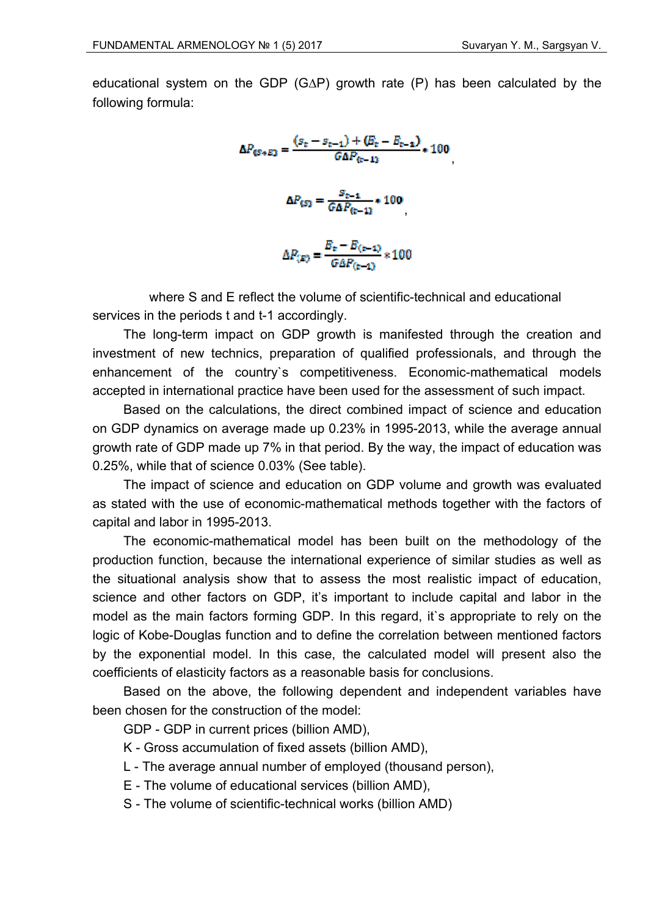educational system on the GDP (G∆P) growth rate (P) has been calculated by the following formula:

$$
\Delta P_{\text{GS}+E2} = \frac{(s_{\text{t}} - s_{\text{t}-1}) + (E_{\text{t}} - E_{\text{t}-1})}{G\Delta P_{\text{t}-12}} * 100
$$

$$
\Delta P_{\text{GS}2} = \frac{s_{\text{t}-1}}{G\Delta P_{\text{t}-12}} * 100
$$

$$
\Delta P_{\text{GS}2} = \frac{E_{\text{t}} - E_{\text{t}-12}}{G\Delta P_{\text{t}-12}} * 100
$$

where S and E reflect the volume of scientific-technical and educational services in the periods t and t-1 accordingly.

The long-term impact on GDP growth is manifested through the creation and investment of new technics, preparation of qualified professionals, and through the enhancement of the country`s competitiveness. Economic-mathematical models accepted in international practice have been used for the assessment of such impact.

Based on the calculations, the direct combined impact of science and education on GDP dynamics on average made up 0.23% in 1995-2013, while the average annual growth rate of GDP made up 7% in that period. By the way, the impact of education was 0.25%, while that of science 0.03% (See table).

The impact of science and education on GDP volume and growth was evaluated as stated with the use of economic-mathematical methods together with the factors of capital and labor in 1995-2013.

The economic-mathematical model has been built on the methodology of the production function, because the international experience of similar studies as well as the situational analysis show that to assess the most realistic impact of education, science and other factors on GDP, it's important to include capital and labor in the model as the main factors forming GDP. In this regard, it's appropriate to rely on the logic of Kobe-Douglas function and to define the correlation between mentioned factors by the exponential model. In this case, the calculated model will present also the coefficients of elasticity factors as a reasonable basis for conclusions.

Based on the above, the following dependent and independent variables have been chosen for the construction of the model:

GDP - GDP in current prices (billion AMD),

- K Gross accumulation of fixed assets (billion AMD),
- L The average annual number of employed (thousand person),
- E The volume of educational services (billion AMD),
- S The volume of scientific-technical works (billion AMD)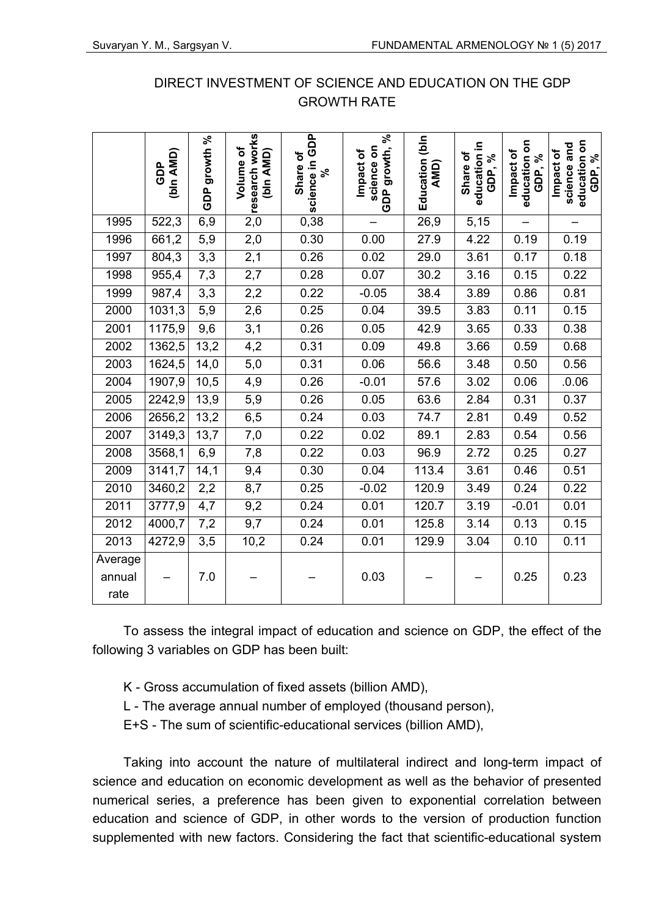|                           | (bin AMD)<br>GDP | growth %<br>GDP | research works<br>Volume of<br>(bin AMD) | science in GDP<br>Share of<br>వి | growth, %<br>science on<br>Impact of<br>GDP | Education (bin<br>AMD) | education in<br>Share of<br>GDP, % | education on<br>Impact of<br>GDP, % | education on<br>science and<br>Impact of<br>GDP, % |
|---------------------------|------------------|-----------------|------------------------------------------|----------------------------------|---------------------------------------------|------------------------|------------------------------------|-------------------------------------|----------------------------------------------------|
| 1995                      | 522,3            | 6,9             | $\overline{2,0}$                         | 0,38                             |                                             | 26,9                   | 5,15                               | $\overline{\phantom{0}}$            |                                                    |
| 1996                      | 661,2            | 5,9             | 2,0                                      | 0.30                             | 0.00                                        | 27.9                   | 4.22                               | 0.19                                | 0.19                                               |
| 1997                      | 804,3            | 3,3             | 2,1                                      | 0.26                             | 0.02                                        | 29.0                   | 3.61                               | 0.17                                | 0.18                                               |
| 1998                      | 955,4            | 7,3             | 2,7                                      | 0.28                             | 0.07                                        | 30.2                   | 3.16                               | 0.15                                | 0.22                                               |
| 1999                      | 987,4            | 3,3             | 2,2                                      | 0.22                             | $-0.05$                                     | 38.4                   | 3.89                               | 0.86                                | 0.81                                               |
| 2000                      | 1031,3           | 5,9             | 2,6                                      | 0.25                             | 0.04                                        | 39.5                   | 3.83                               | 0.11                                | 0.15                                               |
| 2001                      | 1175,9           | 9,6             | 3,1                                      | 0.26                             | 0.05                                        | 42.9                   | 3.65                               | 0.33                                | 0.38                                               |
| 2002                      | 1362,5           | 13,2            | 4,2                                      | 0.31                             | 0.09                                        | 49.8                   | 3.66                               | 0.59                                | 0.68                                               |
| 2003                      | 1624,5           | 14,0            | 5,0                                      | 0.31                             | 0.06                                        | 56.6                   | 3.48                               | 0.50                                | 0.56                                               |
| 2004                      | 1907,9           | 10,5            | 4,9                                      | 0.26                             | $-0.01$                                     | 57.6                   | 3.02                               | 0.06                                | .0.06                                              |
| 2005                      | 2242,9           | 13,9            | 5,9                                      | 0.26                             | 0.05                                        | 63.6                   | 2.84                               | 0.31                                | 0.37                                               |
| 2006                      | 2656,2           | 13,2            | 6,5                                      | 0.24                             | 0.03                                        | 74.7                   | 2.81                               | 0.49                                | 0.52                                               |
| 2007                      | 3149,3           | 13,7            | 7,0                                      | 0.22                             | 0.02                                        | 89.1                   | 2.83                               | 0.54                                | 0.56                                               |
| 2008                      | 3568,1           | 6,9             | 7,8                                      | 0.22                             | 0.03                                        | 96.9                   | 2.72                               | 0.25                                | 0.27                                               |
| 2009                      | 3141,7           | 14,1            | 9,4                                      | 0.30                             | 0.04                                        | 113.4                  | 3.61                               | 0.46                                | 0.51                                               |
| 2010                      | 3460,2           | 2,2             | 8,7                                      | 0.25                             | $-0.02$                                     | 120.9                  | 3.49                               | 0.24                                | 0.22                                               |
| 2011                      | 3777,9           | 4,7             | 9,2                                      | 0.24                             | 0.01                                        | 120.7                  | 3.19                               | $-0.01$                             | 0.01                                               |
| 2012                      | 4000,7           | 7,2             | 9,7                                      | 0.24                             | 0.01                                        | 125.8                  | 3.14                               | 0.13                                | 0.15                                               |
| 2013                      | 4272,9           | 3,5             | 10,2                                     | 0.24                             | 0.01                                        | 129.9                  | 3.04                               | 0.10                                | 0.11                                               |
| Average<br>annual<br>rate |                  | 7.0             |                                          |                                  | 0.03                                        |                        |                                    | 0.25                                | 0.23                                               |

# DIRECT INVESTMENT OF SCIENCE AND EDUCATION ON THE GDP GROWTH RATE

To assess the integral impact of education and science on GDP, the effect of the following 3 variables on GDP has been built:

- K Gross accumulation of fixed assets (billion AMD),
- L The average annual number of employed (thousand person),
- E+S The sum of scientific-educational services (billion AMD),

Taking into account the nature of multilateral indirect and long-term impact of science and education on economic development as well as the behavior of presented numerical series, a preference has been given to exponential correlation between education and science of GDP, in other words to the version of production function supplemented with new factors. Considering the fact that scientific-educational system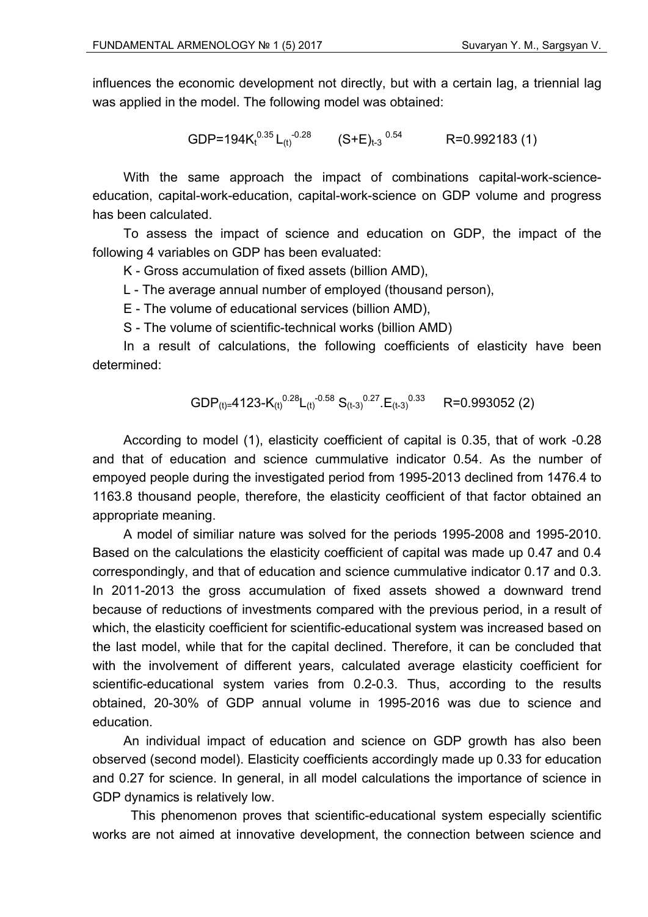influences the economic development not directly, but with a certain lag, a triennial lag was applied in the model. The following model was obtained:

GDP=194K<sub>t</sub><sup>0.35</sup> L<sub>(t)</sub><sup>-0.28</sup> (S+E)<sub>t-3</sub><sup>0.54</sup> R=0.992183 (1)

With the same approach the impact of combinations capital-work-scienceeducation, capital-work-education, capital-work-science on GDP volume and progress has been calculated.

To assess the impact of science and education on GDP, the impact of the following 4 variables on GDP has been evaluated:

K - Gross accumulation of fixed assets (billion AMD),

L - The average annual number of employed (thousand person),

E - The volume of educational services (billion AMD),

S - The volume of scientific-technical works (billion AMD)

In a result of calculations, the following coefficients of elasticity have been determined:

$$
\text{GDP}_{(t)} = 4123 \cdot K_{(t)}^{0.28} L_{(t)}^{-0.58} S_{(t-3)}^{0.27} \cdot E_{(t-3)}^{0.33} \qquad R = 0.993052 \text{ (2)}
$$

According to model (1), elasticity coefficient of capital is 0.35, that of work -0.28 and that of education and science cummulative indicator 0.54. As the number of empoyed people during the investigated period from 1995-2013 declined from 1476.4 to 1163.8 thousand people, therefore, the elasticity ceofficient of that factor obtained an appropriate meaning.

A model of similiar nature was solved for the periods 1995-2008 and 1995-2010. Based on the calculations the elasticity coefficient of capital was made up 0.47 and 0.4 correspondingly, and that of education and science cummulative indicator 0.17 and 0.3. In 2011-2013 the gross accumulation of fixed assets showed a downward trend because of reductions of investments compared with the previous period, in a result of which, the elasticity coefficient for scientific-educational system was increased based on the last model, while that for the capital declined. Therefore, it can be concluded that with the involvement of different years, calculated average elasticity coefficient for scientific-educational system varies from 0.2-0.3. Thus, according to the results obtained, 20-30% of GDP annual volume in 1995-2016 was due to science and education.

An individual impact of education and science on GDP growth has also been observed (second model). Elasticity coefficients accordingly made up 0.33 for education and 0.27 for science. In general, in all model calculations the importance of science in GDP dynamics is relatively low.

 This phenomenon proves that scientific-educational system especially scientific works are not aimed at innovative development, the connection between science and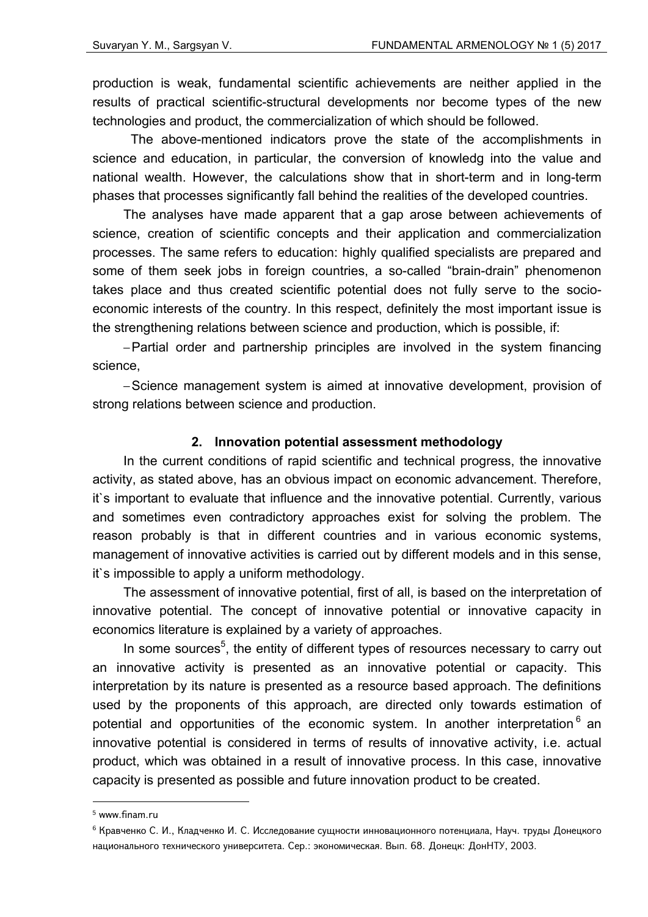production is weak, fundamental scientific achievements are neither applied in the results of practical scientific-structural developments nor become types of the new technologies and product, the commercialization of which should be followed.

 The above-mentioned indicators prove the state of the accomplishments in science and education, in particular, the conversion of knowledg into the value and national wealth. However, the calculations show that in short-term and in long-term phases that processes significantly fall behind the realities of the developed countries.

The analyses have made apparent that a gap arose between achievements of science, creation of scientific concepts and their application and commercialization processes. The same refers to education: highly qualified specialists are prepared and some of them seek jobs in foreign countries, a so-called "brain-drain" phenomenon takes place and thus created scientific potential does not fully serve to the socioeconomic interests of the country. In this respect, definitely the most important issue is the strengthening relations between science and production, which is possible, if:

– Partial order and partnership principles are involved in the system financing science,

– Science management system is aimed at innovative development, provision of strong relations between science and production.

# **2. Innovation potential assessment methodology**

In the current conditions of rapid scientific and technical progress, the innovative activity, as stated above, has an obvious impact on economic advancement. Therefore, it`s important to evaluate that influence and the innovative potential. Currently, various and sometimes even contradictory approaches exist for solving the problem. The reason probably is that in different countries and in various economic systems, management of innovative activities is carried out by different models and in this sense, it`s impossible to apply a uniform methodology.

The assessment of innovative potential, first of all, is based on the interpretation of innovative potential. The concept of innovative potential or innovative capacity in economics literature is explained by a variety of approaches.

In some sources<sup>5</sup>, the entity of different types of resources necessary to carry out an innovative activity is presented as an innovative potential or capacity. This interpretation by its nature is presented as a resource based approach. The definitions used by the proponents of this approach, are directed only towards estimation of potential and opportunities of the economic system. In another interpretation  $6$  an innovative potential is considered in terms of results of innovative activity, i.e. actual product, which was obtained in a result of innovative process. In this case, innovative capacity is presented as possible and future innovation product to be created.

<sup>5</sup> www.finam.ru

<sup>6</sup> Кравченко С. И., Кладченко И. С. Исследование сущности инновационного потенциала, Науч. труды Донецкого национального технического университета. Сер.: экономическая. Вып. 68. Донецк: ДонНТУ, 2003.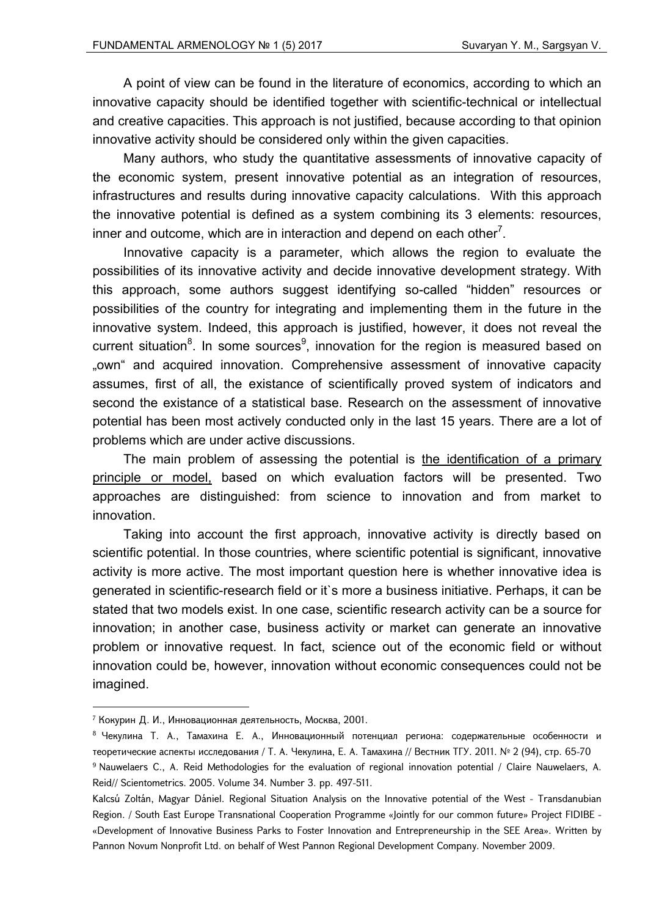A point of view can be found in the literature of economics, according to which an innovative capacity should be identified together with scientific-technical or intellectual and creative capacities. This approach is not justified, because according to that opinion innovative activity should be considered only within the given capacities.

Many authors, who study the quantitative assessments of innovative capacity of the economic system, present innovative potential as an integration of resources, infrastructures and results during innovative capacity calculations. With this approach the innovative potential is defined as a system combining its 3 elements: resources, inner and outcome, which are in interaction and depend on each other<sup>7</sup>.

Innovative capacity is a parameter, which allows the region to evaluate the possibilities of its innovative activity and decide innovative development strategy. With this approach, some authors suggest identifying so-called "hidden" resources or possibilities of the country for integrating and implementing them in the future in the innovative system. Indeed, this approach is justified, however, it does not reveal the current situation<sup>8</sup>. In some sources<sup>9</sup>, innovation for the region is measured based on "own" and acquired innovation. Comprehensive assessment of innovative capacity assumes, first of all, the existance of scientifically proved system of indicators and second the existance of a statistical base. Research on the assessment of innovative potential has been most actively conducted only in the last 15 years. There are a lot of problems which are under active discussions.

The main problem of assessing the potential is the identification of a primary principle or model, based on which evaluation factors will be presented. Two approaches are distinguished: from science to innovation and from market to innovation.

Taking into account the first approach, innovative activity is directly based on scientific potential. In those countries, where scientific potential is significant, innovative activity is more active. The most important question here is whether innovative idea is generated in scientific-research field or it`s more a business initiative. Perhaps, it can be stated that two models exist. In one case, scientific research activity can be a source for innovation; in another case, business activity or market can generate an innovative problem or innovative request. In fact, science out of the economic field or without innovation could be, however, innovation without economic consequences could not be imagined.

<sup>7</sup> Кокурин Д. И., Инновационная деятельность, Москва, 2001.

<sup>&</sup>lt;sup>8</sup> Чекулина Т. А., Тамахина Е. А., Инновационный потенциал региона: содержательные особенности и теоретические аспекты исследования / Т. А. Чекулина, Е. А. Тамахина // Вестник ТГУ. 2011. № 2 (94), стр. 65-70 9 Nauwelaers C., A. Reid Methodologies for the evaluation of regional innovation potential / Claire Nauwelaers, A. Reid// Scientometrics. 2005. Volume 34. Number 3. pp. 497-511.

Kalcsú Zoltán, Magyar Dániel. Regional Situation Analysis on the Innovative potential of the West - Transdanubian Region. / South East Europe Transnational Cooperation Programme «Jointly for our common future» Project FIDIBE - «Development of Innovative Business Parks to Foster Innovation and Entrepreneurship in the SEE Area». Written by Pannon Novum Nonprofit Ltd. on behalf of West Pannon Regional Development Company. November 2009.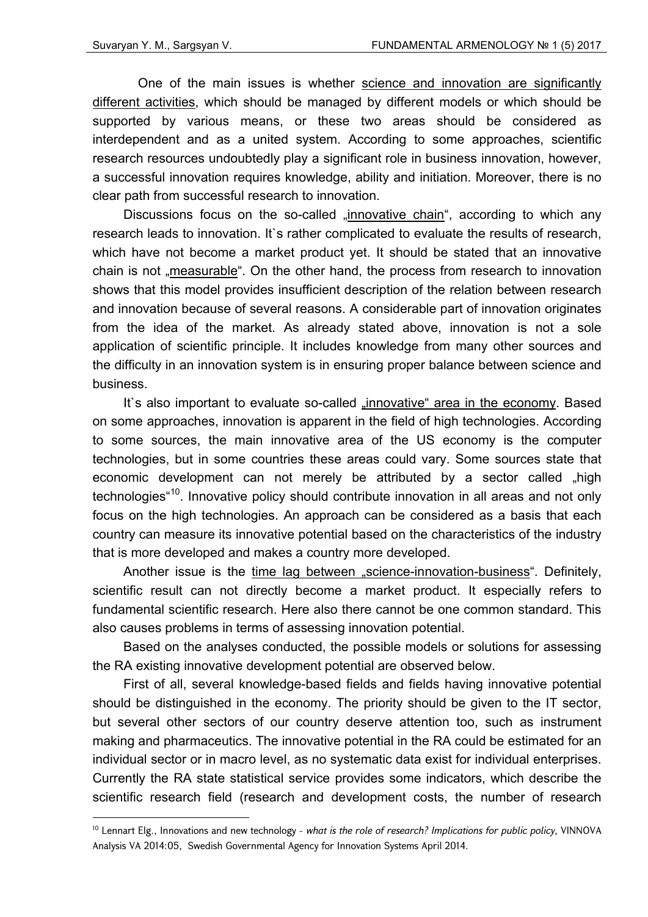<u>.</u>

 One of the main issues is whether science and innovation are significantly different activities, which should be managed by different models or which should be supported by various means, or these two areas should be considered as interdependent and as a united system. According to some approaches, scientific research resources undoubtedly play a significant role in business innovation, however, a successful innovation requires knowledge, ability and initiation. Moreover, there is no clear path from successful research to innovation.

Discussions focus on the so-called "innovative chain", according to which any research leads to innovation. It`s rather complicated to evaluate the results of research, which have not become a market product yet. It should be stated that an innovative chain is not "measurable". On the other hand, the process from research to innovation shows that this model provides insufficient description of the relation between research and innovation because of several reasons. A considerable part of innovation originates from the idea of the market. As already stated above, innovation is not a sole application of scientific principle. It includes knowledge from many other sources and the difficulty in an innovation system is in ensuring proper balance between science and business.

It's also important to evaluate so-called "innovative" area in the economy. Based on some approaches, innovation is apparent in the field of high technologies. According to some sources, the main innovative area of the US economy is the computer technologies, but in some countries these areas could vary. Some sources state that economic development can not merely be attributed by a sector called "high technologies<sup>"10</sup>. Innovative policy should contribute innovation in all areas and not only focus on the high technologies. An approach can be considered as a basis that each country can measure its innovative potential based on the characteristics of the industry that is more developed and makes a country more developed.

Another issue is the time lag between "science-innovation-business". Definitely, scientific result can not directly become a market product. It especially refers to fundamental scientific research. Here also there cannot be one common standard. This also causes problems in terms of assessing innovation potential.

Based on the analyses conducted, the possible models or solutions for assessing the RA existing innovative development potential are observed below.

First of all, several knowledge-based fields and fields having innovative potential should be distinguished in the economy. The priority should be given to the IT sector, but several other sectors of our country deserve attention too, such as instrument making and pharmaceutics. The innovative potential in the RA could be estimated for an individual sector or in macro level, as no systematic data exist for individual enterprises. Currently the RA state statistical service provides some indicators, which describe the scientific research field (research and development costs, the number of research

<sup>10</sup> Lennart Elg., Innovations and new technology - *what is the role of research? Implications for public policy,* VINNOVA Analysis VA 2014:05, Swedish Governmental Agency for Innovation Systems April 2014.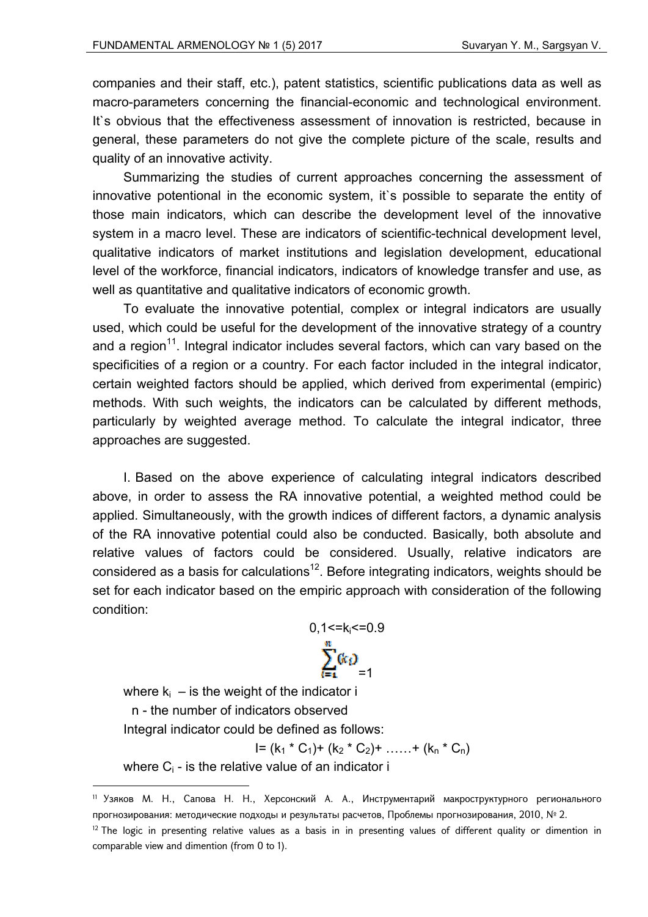companies and their staff, etc.), patent statistics, scientific publications data as well as macro-parameters concerning the financial-economic and technological environment. It`s obvious that the effectiveness assessment of innovation is restricted, because in general, these parameters do not give the complete picture of the scale, results and quality of an innovative activity.

Summarizing the studies of current approaches concerning the assessment of innovative potentional in the economic system, it`s possible to separate the entity of those main indicators, which can describe the development level of the innovative system in a macro level. These are indicators of scientific-technical development level, qualitative indicators of market institutions and legislation development, educational level of the workforce, financial indicators, indicators of knowledge transfer and use, as well as quantitative and qualitative indicators of economic growth.

To evaluate the innovative potential, complex or integral indicators are usually used, which could be useful for the development of the innovative strategy of a country and a region<sup>11</sup>. Integral indicator includes several factors, which can vary based on the specificities of a region or a country. For each factor included in the integral indicator, certain weighted factors should be applied, which derived from experimental (empiric) methods. With such weights, the indicators can be calculated by different methods, particularly by weighted average method. To calculate the integral indicator, three approaches are suggested.

I. Based on the above experience of calculating integral indicators described above, in order to assess the RA innovative potential, a weighted method could be applied. Simultaneously, with the growth indices of different factors, a dynamic analysis of the RA innovative potential could also be conducted. Basically, both absolute and relative values of factors could be considered. Usually, relative indicators are considered as a basis for calculations<sup>12</sup>. Before integrating indicators, weights should be set for each indicator based on the empiric approach with consideration of the following condition:



where  $k_i$  – is the weight of the indicator i

n - the number of indicators observed

1

Integral indicator could be defined as follows:

$$
I = (k_1 * C_1) + (k_2 * C_2) + \ldots + (k_n * C_n)
$$

where  $C_i$  - is the relative value of an indicator i

<sup>11</sup> Узяков М. Н., Сапова Н. Н., Херсонский А. А., Инструментарий макроструктурного регионального прогнозирования: методические подходы и результаты расчетов, Проблемы прогнозирования, 2010, № 2.

 $12$  The logic in presenting relative values as a basis in in presenting values of different quality or dimention in comparable view and dimention (from 0 to 1).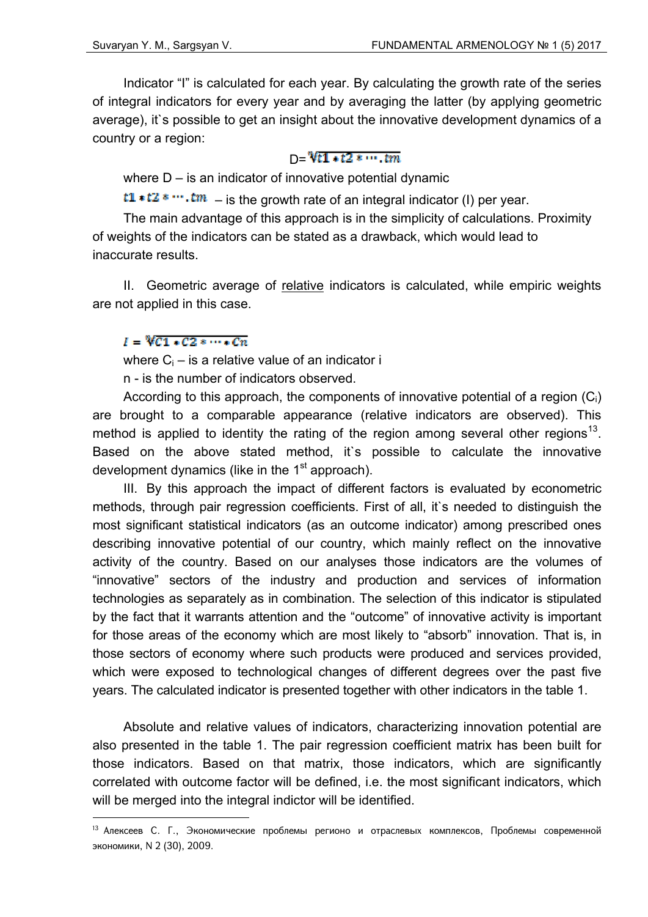Indicator "I" is calculated for each year. By calculating the growth rate of the series of integral indicators for every year and by averaging the latter (by applying geometric average), it`s possible to get an insight about the innovative development dynamics of a country or a region:

### $D = \sqrt[3]{t} \cdot 1 + t^2 \cdot \cdots \cdot tm$

where  $D - i$ s an indicator of innovative potential dynamic

 $t1*t2*...tm$  – is the growth rate of an integral indicator (I) per year.

The main advantage of this approach is in the simplicity of calculations. Proximity of weights of the indicators can be stated as a drawback, which would lead to inaccurate results.

II. Geometric average of relative indicators is calculated, while empiric weights are not applied in this case.

## $I = \sqrt[n]{C1} * C2 * \cdots * Cn$

<u>.</u>

where  $C_i$  – is a relative value of an indicator i

n - is the number of indicators observed.

According to this approach, the components of innovative potential of a region  $(C_i)$ are brought to a comparable appearance (relative indicators are observed). This method is applied to identity the rating of the region among several other regions<sup>13</sup>. Based on the above stated method, it`s possible to calculate the innovative development dynamics (like in the  $1<sup>st</sup>$  approach).

III. By this approach the impact of different factors is evaluated by econometric methods, through pair regression coefficients. First of all, it`s needed to distinguish the most significant statistical indicators (as an outcome indicator) among prescribed ones describing innovative potential of our country, which mainly reflect on the innovative activity of the country. Based on our analyses those indicators are the volumes of "innovative" sectors of the industry and production and services of information technologies as separately as in combination. The selection of this indicator is stipulated by the fact that it warrants attention and the "outcome" of innovative activity is important for those areas of the economy which are most likely to "absorb" innovation. That is, in those sectors of economy where such products were produced and services provided, which were exposed to technological changes of different degrees over the past five years. The calculated indicator is presented together with other indicators in the table 1.

Absolute and relative values of indicators, characterizing innovation potential are also presented in the table 1. The pair regression coefficient matrix has been built for those indicators. Based on that matrix, those indicators, which are significantly correlated with outcome factor will be defined, i.e. the most significant indicators, which will be merged into the integral indictor will be identified.

<sup>13</sup> Алексеев С. Г., Экономические проблемы регионо и отраслевых комплексов, Проблемы современной экономики, N 2 (30), 2009.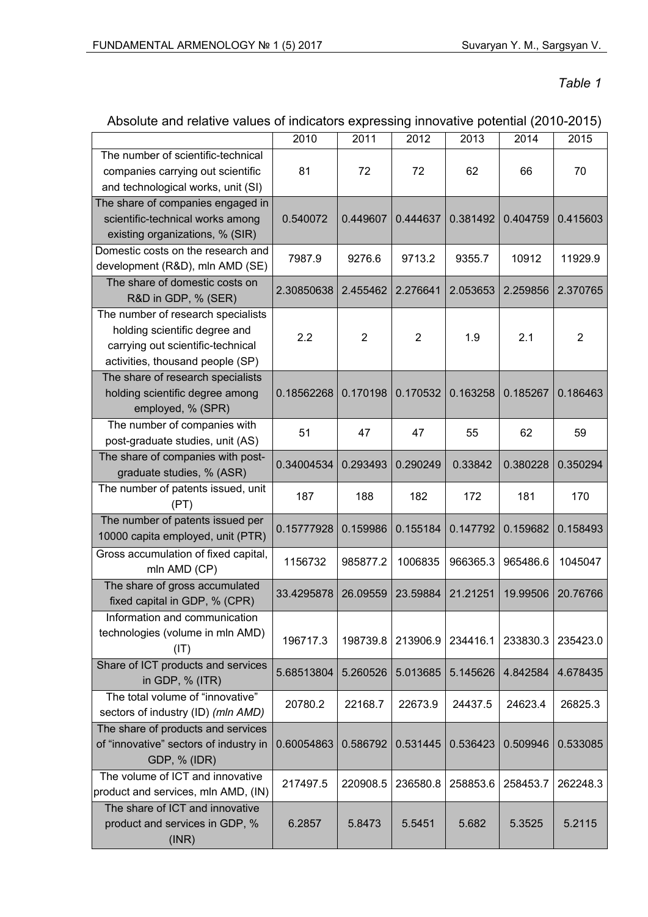*Table 1* 

|                                                       | 2010       | 2011           | 2012           | 2013     | 2014     | 2015           |
|-------------------------------------------------------|------------|----------------|----------------|----------|----------|----------------|
| The number of scientific-technical                    |            |                |                |          |          |                |
| companies carrying out scientific                     | 81         | 72             | 72             | 62       | 66       | 70             |
| and technological works, unit (SI)                    |            |                |                |          |          |                |
| The share of companies engaged in                     | 0.540072   | 0.449607       | 0.444637       | 0.381492 | 0.404759 | 0.415603       |
| scientific-technical works among                      |            |                |                |          |          |                |
| existing organizations, % (SIR)                       |            |                |                |          |          |                |
| Domestic costs on the research and                    | 7987.9     | 9276.6         | 9713.2         | 9355.7   | 10912    | 11929.9        |
| development (R&D), mln AMD (SE)                       |            |                |                |          |          |                |
| The share of domestic costs on<br>R&D in GDP, % (SER) | 2.30850638 | 2.455462       | 2.276641       | 2.053653 | 2.259856 | 2.370765       |
| The number of research specialists                    |            |                |                |          |          |                |
| holding scientific degree and                         | 2.2        | $\overline{2}$ | $\overline{2}$ | 1.9      | 2.1      | $\overline{2}$ |
| carrying out scientific-technical                     |            |                |                |          |          |                |
| activities, thousand people (SP)                      |            |                |                |          |          |                |
| The share of research specialists                     |            |                |                |          |          |                |
| holding scientific degree among                       | 0.18562268 | 0.170198       | 0.170532       | 0.163258 | 0.185267 | 0.186463       |
| employed, % (SPR)                                     |            |                |                |          |          |                |
| The number of companies with                          |            |                |                |          |          |                |
| post-graduate studies, unit (AS)                      | 51         | 47             | 47             | 55       | 62       | 59             |
| The share of companies with post-                     |            |                |                |          |          |                |
| graduate studies, % (ASR)                             | 0.34004534 | 0.293493       | 0.290249       | 0.33842  | 0.380228 | 0.350294       |
| The number of patents issued, unit                    |            |                |                |          |          |                |
| (PT)                                                  | 187        | 188            | 182            | 172      | 181      | 170            |
| The number of patents issued per                      |            |                |                |          |          |                |
| 10000 capita employed, unit (PTR)                     | 0.15777928 | 0.159986       | 0.155184       | 0.147792 | 0.159682 | 0.158493       |
| Gross accumulation of fixed capital,                  |            |                |                |          |          |                |
| mln AMD (CP)                                          | 1156732    | 985877.2       | 1006835        | 966365.3 | 965486.6 | 1045047        |
| The share of gross accumulated                        |            |                |                |          |          |                |
| fixed capital in GDP, % (CPR)                         | 33.4295878 | 26.09559       | 23.59884       | 21.21251 | 19.99506 | 20.76766       |
| Information and communication                         |            |                |                |          |          |                |
| technologies (volume in mln AMD)                      |            |                |                |          |          |                |
| (IT)                                                  | 196717.3   | 198739.8       | 213906.9       | 234416.1 | 233830.3 | 235423.0       |
| Share of ICT products and services                    |            |                |                |          |          |                |
| in GDP, % (ITR)                                       | 5.68513804 | 5.260526       | 5.013685       | 5.145626 | 4.842584 | 4.678435       |
| The total volume of "innovative"                      |            |                |                |          |          |                |
| sectors of industry (ID) (mln AMD)                    | 20780.2    | 22168.7        | 22673.9        | 24437.5  | 24623.4  | 26825.3        |
| The share of products and services                    |            |                |                |          |          |                |
| of "innovative" sectors of industry in                | 0.60054863 | 0.586792       | 0.531445       | 0.536423 | 0.509946 | 0.533085       |
| GDP, % (IDR)                                          |            |                |                |          |          |                |
| The volume of ICT and innovative                      |            |                |                |          |          |                |
| product and services, mln AMD, (IN)                   | 217497.5   | 220908.5       | 236580.8       | 258853.6 | 258453.7 | 262248.3       |
| The share of ICT and innovative                       |            |                |                |          |          |                |
| product and services in GDP, %                        | 6.2857     | 5.8473         | 5.5451         | 5.682    | 5.3525   | 5.2115         |
| (INR)                                                 |            |                |                |          |          |                |
|                                                       |            |                |                |          |          |                |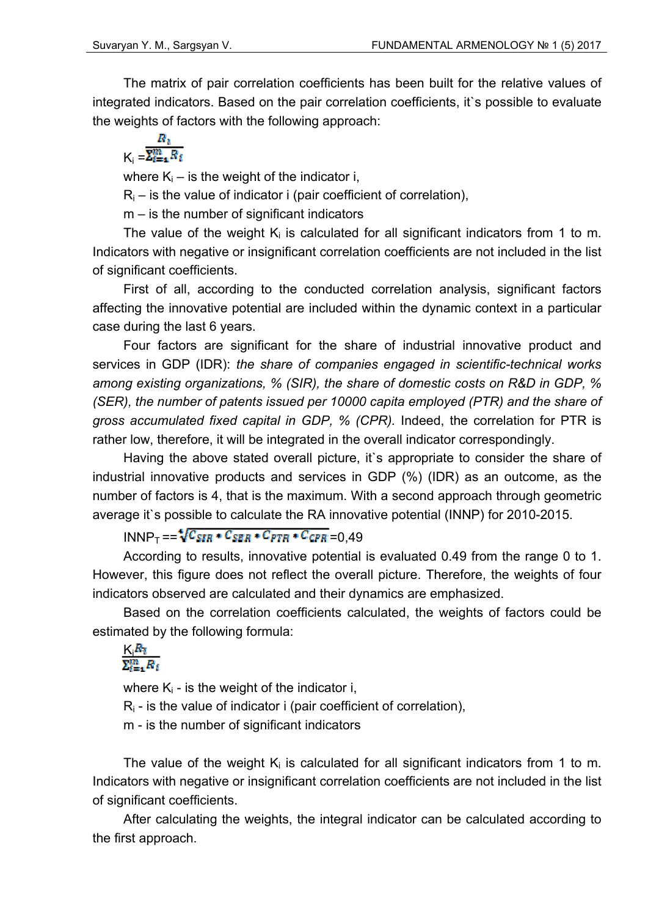The matrix of pair correlation coefficients has been built for the relative values of integrated indicators. Based on the pair correlation coefficients, it`s possible to evaluate the weights of factors with the following approach:

 $K_i = \frac{R_i}{\sum_{i=1}^m R_i}$ 

where  $K_i$  – is the weight of the indicator i,

 $R_i$  – is the value of indicator i (pair coefficient of correlation),

m – is the number of significant indicators

The value of the weight  $K_i$  is calculated for all significant indicators from 1 to m. Indicators with negative or insignificant correlation coefficients are not included in the list of significant coefficients.

First of all, according to the conducted correlation analysis, significant factors affecting the innovative potential are included within the dynamic context in a particular case during the last 6 years.

Four factors are significant for the share of industrial innovative product and services in GDP (IDR): *the share of companies engaged in scientific-technical works among existing organizations, % (SIR), the share of domestic costs on R&D in GDP, % (SER), the number of patents issued per 10000 capita employed (PTR) and the share of gross accumulated fixed capital in GDP, % (CPR).* Indeed, the correlation for PTR is rather low, therefore, it will be integrated in the overall indicator correspondingly.

Having the above stated overall picture, it's appropriate to consider the share of industrial innovative products and services in GDP (%) (IDR) as an outcome, as the number of factors is 4, that is the maximum. With a second approach through geometric average it`s possible to calculate the RA innovative potential (INNP) for 2010-2015.

 $INNP<sub>T</sub> = = \sqrt[4]{C_{SIR} * C_{SER} * C_{PTR} * C_{CPR}} = 0.49$ 

According to results, innovative potential is evaluated 0.49 from the range 0 to 1. However, this figure does not reflect the overall picture. Therefore, the weights of four indicators observed are calculated and their dynamics are emphasized.

Based on the correlation coefficients calculated, the weights of factors could be estimated by the following formula:

# $\frac{K R_i}{\Sigma_{i=1}^m R_i}$

where  $K_i$  - is the weight of the indicator i,

 $R_i$  - is the value of indicator i (pair coefficient of correlation),

m - is the number of significant indicators

The value of the weight  $K_i$  is calculated for all significant indicators from 1 to m. Indicators with negative or insignificant correlation coefficients are not included in the list of significant coefficients.

After calculating the weights, the integral indicator can be calculated according to the first approach.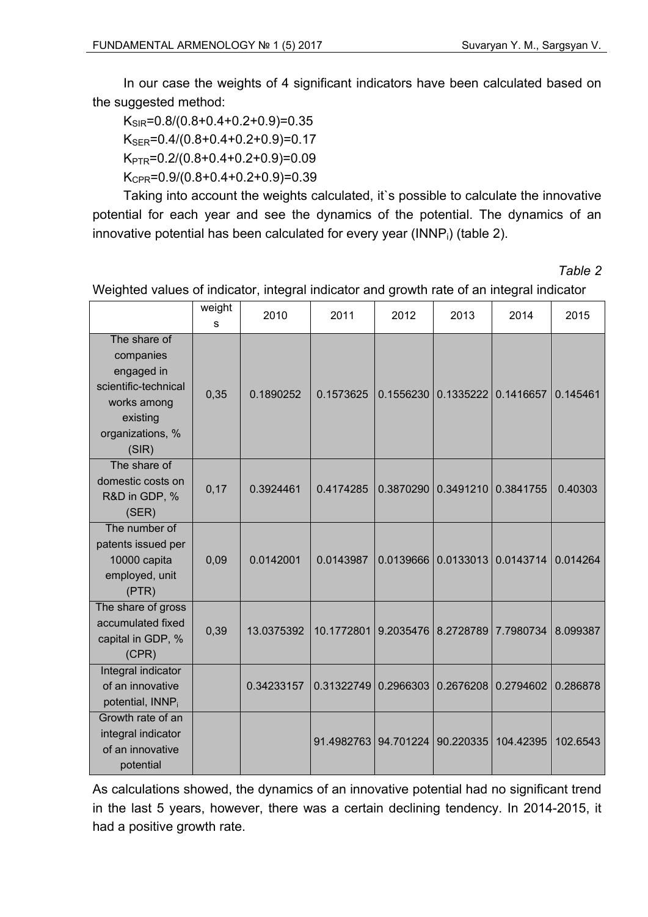In our case the weights of 4 significant indicators have been calculated based on the suggested method:

 $K_{SIR} = 0.8/(0.8 + 0.4 + 0.2 + 0.9) = 0.35$  $K_{SFR}$ =0.4/(0.8+0.4+0.2+0.9)=0.17  $K_{\text{PTR}}$ =0.2/(0.8+0.4+0.2+0.9)=0.09  $K_{\text{CPR}} = 0.9/(0.8 + 0.4 + 0.2 + 0.9) = 0.39$ 

Taking into account the weights calculated, it`s possible to calculate the innovative potential for each year and see the dynamics of the potential. The dynamics of an innovative potential has been calculated for every year (INNP $_i$ ) (table 2).

| able |  |
|------|--|
|------|--|

|                                                                                                                         | weight<br>S | 2010       | 2011       | 2012      | 2013      | 2014      | 2015     |
|-------------------------------------------------------------------------------------------------------------------------|-------------|------------|------------|-----------|-----------|-----------|----------|
| The share of<br>companies<br>engaged in<br>scientific-technical<br>works among<br>existing<br>organizations, %<br>(SIR) | 0,35        | 0.1890252  | 0.1573625  | 0.1556230 | 0.1335222 | 0.1416657 | 0.145461 |
| The share of<br>domestic costs on<br>R&D in GDP, %<br>(SER)                                                             | 0,17        | 0.3924461  | 0.4174285  | 0.3870290 | 0.3491210 | 0.3841755 | 0.40303  |
| The number of<br>patents issued per<br>10000 capita<br>employed, unit<br>(PTR)                                          | 0,09        | 0.0142001  | 0.0143987  | 0.0139666 | 0.0133013 | 0.0143714 | 0.014264 |
| The share of gross<br>accumulated fixed<br>capital in GDP, %<br>(CPR)                                                   | 0,39        | 13.0375392 | 10.1772801 | 9.2035476 | 8.2728789 | 7.7980734 | 8.099387 |
| Integral indicator<br>of an innovative<br>potential, INNP <sub>i</sub>                                                  |             | 0.34233157 | 0.31322749 | 0.2966303 | 0.2676208 | 0.2794602 | 0.286878 |
| Growth rate of an<br>integral indicator<br>of an innovative<br>potential                                                |             |            | 91.4982763 | 94.701224 | 90.220335 | 104.42395 | 102.6543 |

Weighted values of indicator, integral indicator and growth rate of an integral indicator

As calculations showed, the dynamics of an innovative potential had no significant trend in the last 5 years, however, there was a certain declining tendency. In 2014-2015, it had a positive growth rate.